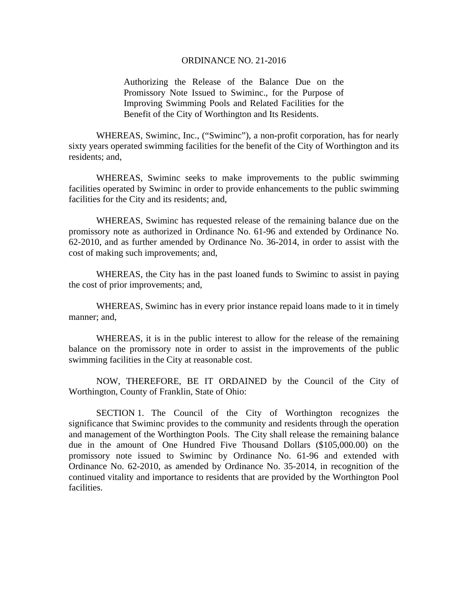## ORDINANCE NO. 21-2016

Authorizing the Release of the Balance Due on the Promissory Note Issued to Swiminc., for the Purpose of Improving Swimming Pools and Related Facilities for the Benefit of the City of Worthington and Its Residents.

 WHEREAS, Swiminc, Inc., ("Swiminc"), a non-profit corporation, has for nearly sixty years operated swimming facilities for the benefit of the City of Worthington and its residents; and,

 WHEREAS, Swiminc seeks to make improvements to the public swimming facilities operated by Swiminc in order to provide enhancements to the public swimming facilities for the City and its residents; and,

 WHEREAS, Swiminc has requested release of the remaining balance due on the promissory note as authorized in Ordinance No. 61-96 and extended by Ordinance No. 62-2010, and as further amended by Ordinance No. 36-2014, in order to assist with the cost of making such improvements; and,

 WHEREAS, the City has in the past loaned funds to Swiminc to assist in paying the cost of prior improvements; and,

 WHEREAS, Swiminc has in every prior instance repaid loans made to it in timely manner; and,

 WHEREAS, it is in the public interest to allow for the release of the remaining balance on the promissory note in order to assist in the improvements of the public swimming facilities in the City at reasonable cost.

 NOW, THEREFORE, BE IT ORDAINED by the Council of the City of Worthington, County of Franklin, State of Ohio:

 SECTION 1. The Council of the City of Worthington recognizes the significance that Swiminc provides to the community and residents through the operation and management of the Worthington Pools. The City shall release the remaining balance due in the amount of One Hundred Five Thousand Dollars (\$105,000.00) on the promissory note issued to Swiminc by Ordinance No. 61-96 and extended with Ordinance No. 62-2010, as amended by Ordinance No. 35-2014, in recognition of the continued vitality and importance to residents that are provided by the Worthington Pool facilities.